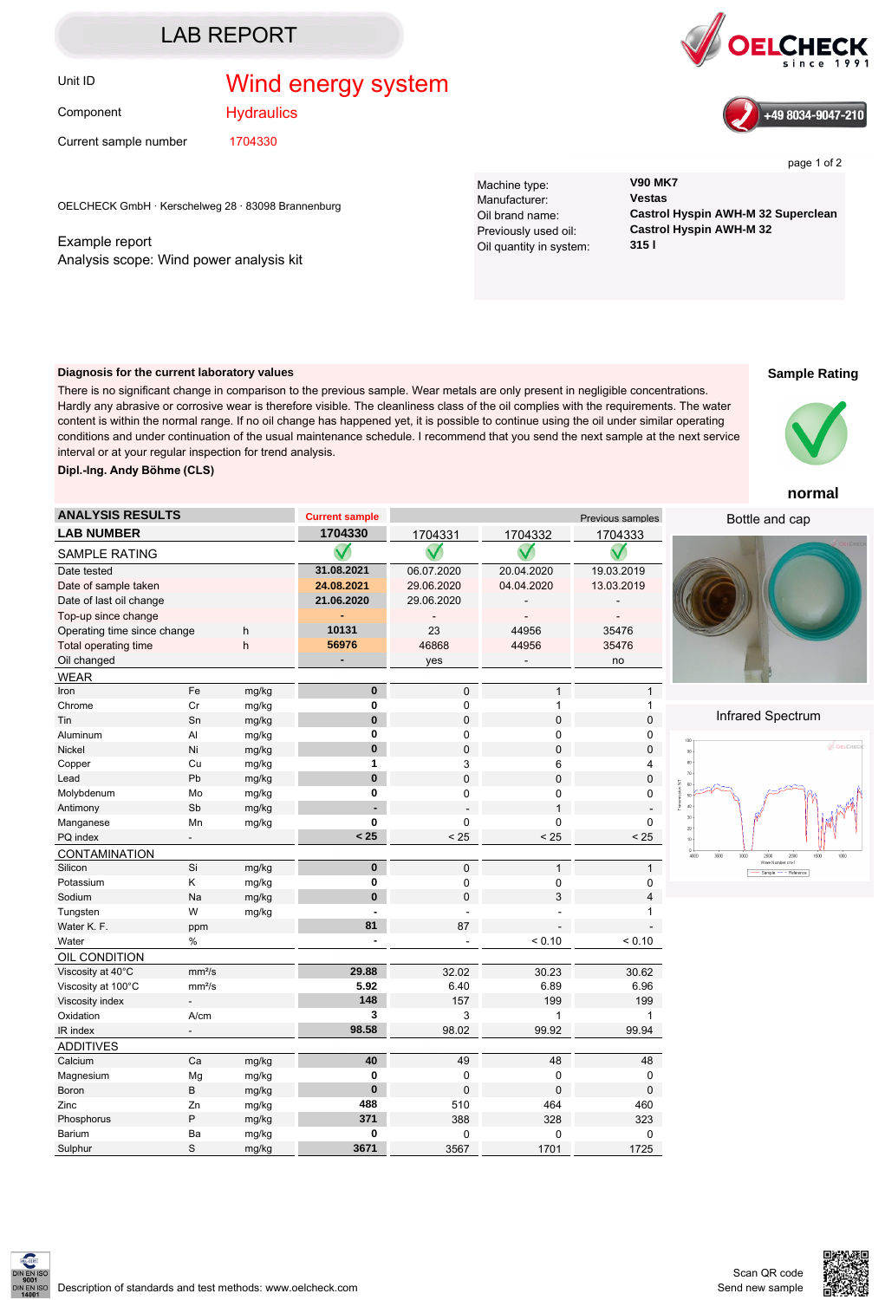### LAB REPORT

## Unit ID **Wind energy system**



**Hydraulics** 

Current sample number 1704330

SAMPLE RATING

**CONTAMINATION** 

OIL CONDITION

ADDITIVES<br>Calcium

WEAR

OELCHECK GmbH · Kerschelweg 28 · 83098 Brannenburg

Example report Analysis scope: Wind power analysis kit Machine type: **V90 MK7** Manufacturer: **Vestas** Oil quantity in system:

Oil brand name: **Castrol Hyspin AWH-M 32 Superclean** Previously used oil: **Castrol Hyspin AWH-M 32**

#### **Diagnosis for the current laboratory values**

There is no significant change in comparison to the previous sample. Wear metals are only present in negligible concentrations. Hardly any abrasive or corrosive wear is therefore visible. The cleanliness class of the oil complies with the requirements. The water content is within the normal range. If no oil change has happened yet, it is possible to continue using the oil under similar operating conditions and under continuation of the usual maintenance schedule. I recommend that you send the next sample at the next service interval or at your regular inspection for trend analysis. **Dipl.-Ing. Andy Böhme (CLS)**

**ANALYSIS RESULTS Current sample Current sample** Previous samples

Magnesium Mg mg/kg **0** 0 0 0 Boron B mg/kg **0** 0 0 0 Zinc Zn mg/kg **488** 510 464 460 Phosphorus P mg/kg **371** 388 328 323 Barium Ba mg/kg **0** 0 0 0 Sulphur S mg/kg **3671** 3567 1701 1725

**Sample Rating**

#### **normal**

Bottle and cap



![](_page_0_Figure_17.jpeg)

![](_page_0_Picture_21.jpeg)

![](_page_0_Picture_22.jpeg)

![](_page_0_Picture_23.jpeg)

page 1 of 2